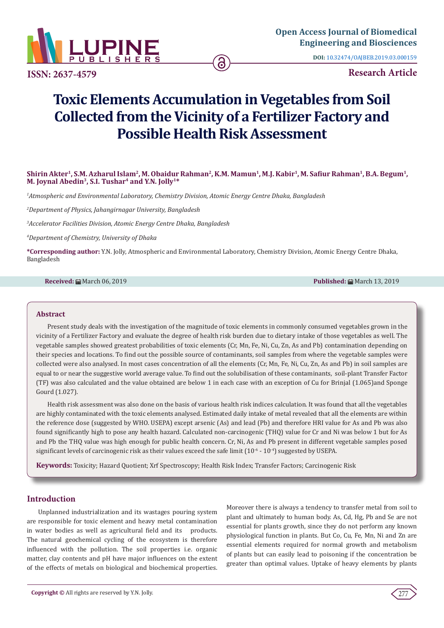

**DOI:** [10.32474/OAJBEB.2019.03.000159](http://dx.doi.org/10.32474/OAJBEB.2019.03.000159)

**ISSN: 2637-4579 Research Article**

# **Toxic Elements Accumulation in Vegetables from Soil Collected from the Vicinity of a Fertilizer Factory and Possible Health Risk Assessment**

# **Shirin Akter1, S.M. Azharul Islam2, M. Obaidur Rahman2, K.M. Mamun1, M.J. Kabir1, M. Safiur Rahman1, B.A. Begum1, M. Joynal Abedin3, S.I. Tushar4 and Y.N. Jolly1\***

*1 Atmospheric and Environmental Laboratory, Chemistry Division, Atomic Energy Centre Dhaka, Bangladesh*

*2 Department of Physics, Jahangirnagar University, Bangladesh*

*3 Accelerator Facilities Division, Atomic Energy Centre Dhaka, Bangladesh*

*4 Department of Chemistry, University of Dhaka*

**\*Corresponding author:** Y.N. Jolly, Atmospheric and Environmental Laboratory, Chemistry Division, Atomic Energy Centre Dhaka, Bangladesh

**Received:** March 06, 2019 **Published:** March 13, 2019

#### **Abstract**

Present study deals with the investigation of the magnitude of toxic elements in commonly consumed vegetables grown in the vicinity of a Fertilizer Factory and evaluate the degree of health risk burden due to dietary intake of those vegetables as well. The vegetable samples showed greatest probabilities of toxic elements (Cr, Mn, Fe, Ni, Cu, Zn, As and Pb) contamination depending on their species and locations. To find out the possible source of contaminants, soil samples from where the vegetable samples were collected were also analysed. In most cases concentration of all the elements (Cr, Mn, Fe, Ni, Cu, Zn, As and Pb) in soil samples are equal to or near the suggestive world average value. To find out the solubilisation of these contaminants, soil-plant Transfer Factor (TF) was also calculated and the value obtained are below 1 in each case with an exception of Cu for Brinjal (1.065)and Sponge Gourd (1.027).

Health risk assessment was also done on the basis of various health risk indices calculation. It was found that all the vegetables are highly contaminated with the toxic elements analysed. Estimated daily intake of metal revealed that all the elements are within the reference dose (suggested by WHO. USEPA) except arsenic (As) and lead (Pb) and therefore HRI value for As and Pb was also found significantly high to pose any health hazard. Calculated non-carcinogenic (THQ) value for Cr and Ni was below 1 but for As and Pb the THQ value was high enough for public health concern. Cr, Ni, As and Pb present in different vegetable samples posed significant levels of carcinogenic risk as their values exceed the safe limit  $(10^{-6} - 10^{-4})$  suggested by USEPA.

**Keywords:** Toxicity; Hazard Quotient; Xrf Spectroscopy; Health Risk Index; Transfer Factors; Carcinogenic Risk

# **Introduction**

Unplanned industrialization and its wastages pouring system are responsible for toxic element and heavy metal contamination in water bodies as well as agricultural field and its products. The natural geochemical cycling of the ecosystem is therefore influenced with the pollution. The soil properties i.e. organic matter, clay contents and pH have major influences on the extent of the effects of metals on biological and biochemical properties.

Moreover there is always a tendency to transfer metal from soil to plant and ultimately to human body. As, Cd, Hg, Pb and Se are not essential for plants growth, since they do not perform any known physiological function in plants. But Co, Cu, Fe, Mn, Ni and Zn are essential elements required for normal growth and metabolism of plants but can easily lead to poisoning if the concentration be greater than optimal values. Uptake of heavy elements by plants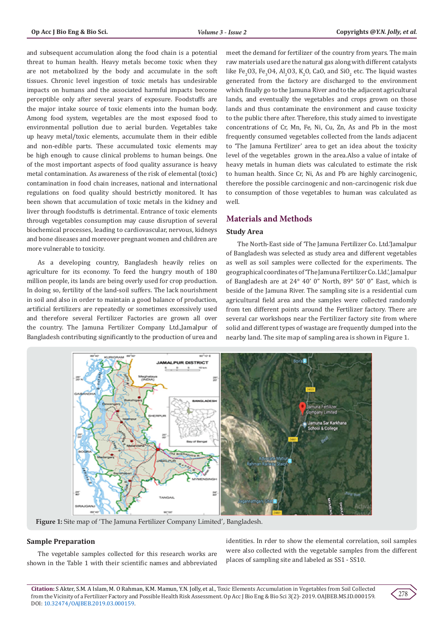and subsequent accumulation along the food chain is a potential threat to human health. Heavy metals become toxic when they are not metabolized by the body and accumulate in the soft tissues. Chronic level ingestion of toxic metals has undesirable impacts on humans and the associated harmful impacts become perceptible only after several years of exposure. Foodstuffs are the major intake source of toxic elements into the human body. Among food system, vegetables are the most exposed food to environmental pollution due to aerial burden. Vegetables take up heavy metal/toxic elements, accumulate them in their edible and non-edible parts. These accumulated toxic elements may be high enough to cause clinical problems to human beings. One of the most important aspects of food quality assurance is heavy metal contamination. As awareness of the risk of elemental (toxic) contamination in food chain increases, national and international regulations on food quality should bestrictly monitored. It has been shown that accumulation of toxic metals in the kidney and liver through foodstuffs is detrimental. Entrance of toxic elements through vegetables consumption may cause disruption of several biochemical processes, leading to cardiovascular, nervous, kidneys and bone diseases and moreover pregnant women and children are more vulnerable to toxicity.

As a developing country, Bangladesh heavily relies on agriculture for its economy. To feed the hungry mouth of 180 million people, its lands are being overly used for crop production. In doing so, fertility of the land-soil suffers. The lack nourishment in soil and also in order to maintain a good balance of production, artificial fertilizers are repeatedly or sometimes excessively used and therefore several Fertilizer Factories are grown all over the country. The Jamuna Fertilizer Company Ltd.,Jamalpur of Bangladesh contributing significantly to the production of urea and

meet the demand for fertilizer of the country from years. The main raw materials used are the natural gas along with different catalysts like Fe<sub>2</sub>O3, Fe<sub>3</sub>O4, Al<sub>2</sub>O3, K<sub>2</sub>O, CaO, and SiO<sub>2</sub> etc. The liquid wastes generated from the factory are discharged to the environment which finally go to the Jamuna River and to the adjacent agricultural lands, and eventually the vegetables and crops grown on those lands and thus contaminate the environment and cause toxicity to the public there after. Therefore, this study aimed to investigate concentrations of Cr, Mn, Fe, Ni, Cu, Zn, As and Pb in the most frequently consumed vegetables collected from the lands adjacent to 'The Jamuna Fertilizer' area to get an idea about the toxicity level of the vegetables grown in the area.Also a value of intake of heavy metals in human diets was calculated to estimate the risk to human health. Since Cr, Ni, As and Pb are highly carcinogenic, therefore the possible carcinogenic and non-carcinogenic risk due to consumption of those vegetables to human was calculated as well.

# **Materials and Methods**

## **Study Area**

The North-East side of 'The Jamuna Fertilizer Co. Ltd.'Jamalpur of Bangladesh was selected as study area and different vegetables as well as soil samples were collected for the experiments. The geographical coordinates of 'The Jamuna Fertilizer Co. Lld.', Jamalpur of Bangladesh are at 24° 40' 0" North, 89° 50' 0" East, which is beside of the Jamuna River. The sampling site is a residential cum agricultural field area and the samples were collected randomly from ten different points around the Fertilizer factory. There are several car workshops near the Fertilizer factory site from where solid and different types of wastage are frequently dumped into the nearby land. The site map of sampling area is shown in Figure 1.



**Figure 1:** Site map of 'The Jamuna Fertilizer Company Limited', Bangladesh.

## **Sample Preparation**

The vegetable samples collected for this research works are shown in the Table 1 with their scientific names and abbreviated

identities. In rder to show the elemental correlation, soil samples were also collected with the vegetable samples from the different places of sampling site and labeled as SS1 - SS10.

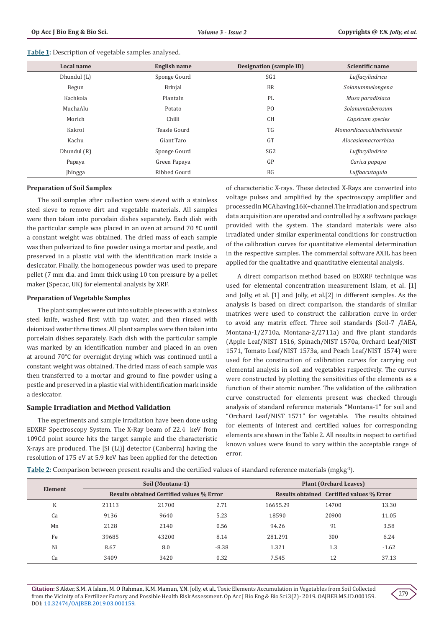| Table 1: Description of vegetable samples analysed. |
|-----------------------------------------------------|
|-----------------------------------------------------|

| Local name  | English name   | <b>Designation (sample ID)</b> | Scientific name                 |
|-------------|----------------|--------------------------------|---------------------------------|
| Dhundul (L) | Sponge Gourd   | SG <sub>1</sub>                | Luffacylindrica                 |
| Begun       | <b>Brinjal</b> | <b>BR</b>                      | Solanummelongena                |
| Kachkola    | Plantain       | PL                             | Musa paradisiaca                |
| MuchaAlu    | Potato         | P <sub>O</sub>                 | Solanumtuberosum                |
| Morich      | Chilli         | <b>CH</b>                      | Capsicum species                |
| Kakrol      | Teasle Gourd   | <b>TG</b>                      | <b>Momordicacochinchinensis</b> |
| Kachu       | Giant Taro     | <b>GT</b>                      | Alocasiamacrorrhiza             |
| Dhundul (R) | Sponge Gourd   | SG <sub>2</sub>                | Luffacylindrica                 |
| Papaya      | Green Papaya   | GP                             | Carica papaya                   |
| Jhingga     | Ribbed Gourd   | RG                             | Luffaacutagula                  |

#### **Preparation of Soil Samples**

The soil samples after collection were sieved with a stainless steel sieve to remove dirt and vegetable materials. All samples were then taken into porcelain dishes separately. Each dish with the particular sample was placed in an oven at around 70 ºC until a constant weight was obtained. The dried mass of each sample was then pulverized to fine powder using a mortar and pestle, and preserved in a plastic vial with the identification mark inside a desiccator. Finally, the homogeneous powder was used to prepare pellet (7 mm dia. and 1mm thick using 10 ton pressure by a pellet maker (Specac, UK) for elemental analysis by XRF.

## **Preparation of Vegetable Samples**

The plant samples were cut into suitable pieces with a stainless steel knife, washed first with tap water, and then rinsed with deionized water three times. All plant samples were then taken into porcelain dishes separately. Each dish with the particular sample was marked by an identification number and placed in an oven at around 70°C for overnight drying which was continued until a constant weight was obtained. The dried mass of each sample was then transferred to a mortar and ground to fine powder using a pestle and preserved in a plastic vial with identification mark inside a desiccator.

## **Sample Irradiation and Method Validation**

The experiments and sample irradiation have been done using EDXRF Spectroscopy System. The X-Ray beam of 22.4 keV from 109Cd point source hits the target sample and the characteristic X-rays are produced. The [Si (Li)] detector (Canberra) having the resolution of 175 eV at 5.9 keV has been applied for the detection

of characteristic X-rays. These detected X-Rays are converted into voltage pulses and amplified by the spectroscopy amplifier and processed in MCA having16K+channel.The irradiation and spectrum data acquisition are operated and controlled by a software package provided with the system. The standard materials were also irradiated under similar experimental conditions for construction of the calibration curves for quantitative elemental determination in the respective samples. The commercial software AXIL has been applied for the qualitative and quantitative elemental analysis.

A direct comparison method based on EDXRF technique was used for elemental concentration measurement Islam, et al. [1] and Jolly, et al. [1] and Jolly, et al.[2] in different samples. As the analysis is based on direct comparison, the standards of similar matrices were used to construct the calibration curve in order to avoid any matrix effect. Three soil standards (Soil-7 /IAEA, Montana-1/2710a, Montana-2/2711a) and five plant standards (Apple Leaf/NIST 1516, Spinach/NIST 1570a, Orchard Leaf/NIST 1571, Tomato Leaf/NIST 1573a, and Peach Leaf/NIST 1574) were used for the construction of calibration curves for carrying out elemental analysis in soil and vegetables respectively. The curves were constructed by plotting the sensitivities of the elements as a function of their atomic number. The validation of the calibration curve constructed for elements present was checked through analysis of standard reference materials "Montana-1" for soil and "Orchard Leaf/NIST 1571" for vegetable. The results obtained for elements of interest and certified values for corresponding elements are shown in the Table 2. All results in respect to certified known values were found to vary within the acceptable range of error.

**Table 2:** Comparison between present results and the certified values of standard reference materials (mgkg-1).

| Element |       | Soil (Montana-1)                          |         | <b>Plant (Orchard Leaves)</b> |                                           |         |  |
|---------|-------|-------------------------------------------|---------|-------------------------------|-------------------------------------------|---------|--|
|         |       | Results obtained Certified values % Error |         |                               | Results obtained Certified values % Error |         |  |
| K       | 21113 | 21700                                     | 2.71    | 16655.29                      | 14700                                     | 13.30   |  |
| Ca      | 9136  | 9640                                      | 5.23    | 18590                         | 20900                                     | 11.05   |  |
| Mn      | 2128  | 2140                                      | 0.56    | 94.26                         | 91                                        | 3.58    |  |
| Fe      | 39685 | 43200                                     | 8.14    | 281.291                       | 300                                       | 6.24    |  |
| Ni      | 8.67  | 8.0                                       | $-8.38$ | 1.321                         | 1.3                                       | $-1.62$ |  |
| Cu      | 3409  | 3420                                      | 0.32    | 7.545                         | 12                                        | 37.13   |  |

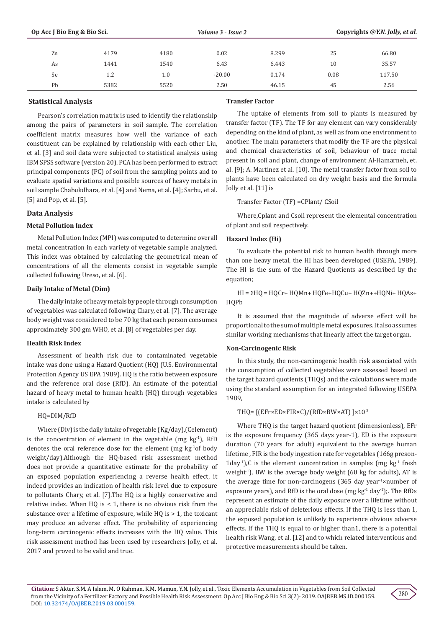| Zn | 4179    | 4180 | 0.02     | 8.299 | 25   | 66.80  |
|----|---------|------|----------|-------|------|--------|
| As | 1441    | 1540 | 6.43     | 6.443 | 10   | 35.57  |
| Se | $1.2\,$ | 1.0  | $-20.00$ | 0.174 | 0.08 | 117.50 |
| Pb | 5382    | 5520 | 2.50     | 46.15 | 45   | 2.56   |

## **Statistical Analysis**

Pearson's correlation matrix is used to identify the relationship among the pairs of parameters in soil sample. The correlation coefficient matrix measures how well the variance of each constituent can be explained by relationship with each other Liu, et al. [3] and soil data were subjected to statistical analysis using IBM SPSS software (version 20). PCA has been performed to extract principal components (PC) of soil from the sampling points and to evaluate spatial variations and possible sources of heavy metals in soil sample Chabukdhara, et al. [4] and Nema, et al. [4]; Sarbu, et al. [5] and Pop, et al. [5].

# **Data Analysis**

## **Metal Pollution Index**

Metal Pollution Index (MPI) was computed to determine overall metal concentration in each variety of vegetable sample analyzed. This index was obtained by calculating the geometrical mean of concentrations of all the elements consist in vegetable sample collected following Ureso, et al. [6].

## **Daily Intake of Metal (Dim)**

The daily intake of heavy metals by people through consumption of vegetables was calculated following Chary, et al. [7]. The average body weight was considered to be 70 kg that each person consumes approximately 300 gm WHO, et al. [8] of vegetables per day.

## **Health Risk Index**

Assessment of health risk due to contaminated vegetable intake was done using a Hazard Quotient (HQ) (U.S. Environmental Protection Agency US EPA 1989). HQ is the ratio between exposure and the reference oral dose (RfD). An estimate of the potential hazard of heavy metal to human health (HQ) through vegetables intake is calculated by

# HQ=DIM/RfD

Where (Div) is the daily intake of vegetable (Kg/day),(Celement) is the concentration of element in the vegetable (mg  $kg<sup>-1</sup>$ ), RfD denotes the oral reference dose for the element (mg kg-1of body weight/day).Although the HQ-based risk assessment method does not provide a quantitative estimate for the probability of an exposed population experiencing a reverse health effect, it indeed provides an indication of health risk level due to exposure to pollutants Chary, et al. [7].The HQ is a highly conservative and relative index. When HQ is  $<$  1, there is no obvious risk from the substance over a lifetime of exposure, while HQ is > 1, the toxicant may produce an adverse effect. The probability of experiencing long-term carcinogenic effects increases with the HQ value. This risk assessment method has been used by researchers Jolly, et al. 2017 and proved to be valid and true.

# **Transfer Factor**

The uptake of elements from soil to plants is measured by transfer factor (TF). The TF for any element can vary considerably depending on the kind of plant, as well as from one environment to another. The main parameters that modify the TF are the physical and chemical characteristics of soil, behaviour of trace metal present in soil and plant, change of environment Al-Hamarneh, et. al. [9]; A. Martinez et al. [10]. The metal transfer factor from soil to plants have been calculated on dry weight basis and the formula Jolly et al. [11] is

Transfer Factor (TF) =CPlant/ CSoil

Where,Cplant and Csoil represent the elemental concentration of plant and soil respectively.

# **Hazard Index (Hi)**

To evaluate the potential risk to human health through more than one heavy metal, the HI has been developed (USEPA, 1989). The HI is the sum of the Hazard Quotients as described by the equation;

HI = ΣHQ = HQCr+ HQMn+ HQFe+HQCu+ HQZn++HQNi+ HQAs+ HQPb

It is assumed that the magnitude of adverse effect will be proportional to the sum of multiple metal exposures. It also assumes similar working mechanisms that linearly affect the target organ.

## **Non-Carcinogenic Risk**

In this study, the non-carcinogenic health risk associated with the consumption of collected vegetables were assessed based on the target hazard quotients (THQs) and the calculations were made using the standard assumption for an integrated following USEPA 1989,

THQ= [(EFr×ED×FIR×C)/(RfD×BW×AT) ]×10-3

Where THQ is the target hazard quotient (dimensionless), EFr is the exposure frequency (365 days year-1), ED is the exposure duration (70 years for adult) equivalent to the average human lifetime , FIR is the body ingestion rate for vegetables (166g preson-1day<sup>-1</sup>),C is the element concentration in samples (mg  $kg<sup>-1</sup>$  fresh weight<sup>-1</sup>), BW is the average body weight  $(60 \text{ kg}$  for adults), AT is the average time for non-carcinogens (365 day year<sup>1</sup>×number of exposure years), and RfD is the oral dose (mg  $kg<sup>-1</sup>$  day<sup>-1</sup>);. The RfDs represent an estimate of the daily exposure over a lifetime without an appreciable risk of deleterious effects. If the THQ is less than 1, the exposed population is unlikely to experience obvious adverse effects. If the THQ is equal to or higher than1, there is a potential health risk Wang, et al. [12] and to which related interventions and protective measurements should be taken.

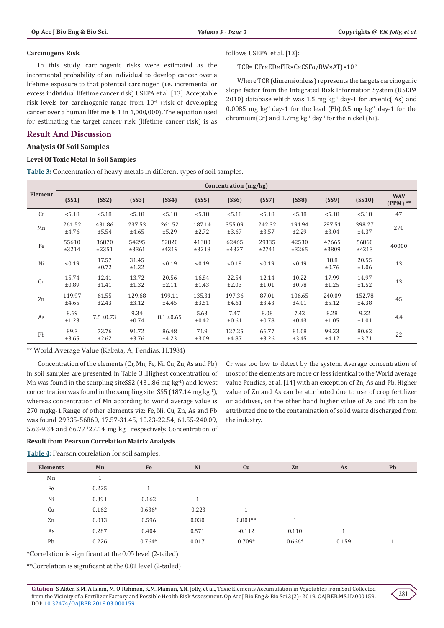#### **Carcinogens Risk**

In this study, carcinogenic risks were estimated as the incremental probability of an individual to develop cancer over a lifetime exposure to that potential carcinogen (i.e. incremental or excess individual lifetime cancer risk) USEPA et al. [13]. Acceptable risk levels for carcinogenic range from  $10^{-4}$  (risk of developing cancer over a human lifetime is 1 in 1,000,000). The equation used for estimating the target cancer risk (lifetime cancer risk) is as

# **Result And Discussion**

# **Analysis Of Soil Samples**

## **Level Of Toxic Metal In Soil Samples**

**Table 3:** Concentration of heavy metals in different types of soil samples.

## follows USEPA et al. [13]:

TCR= EFr×ED×FIR×C×CSFo/BW×AT)×10-3

Where TCR (dimensionless) represents the targets carcinogenic slope factor from the Integrated Risk Information System (USEPA 2010) database which was 1.5 mg  $kg<sup>-1</sup>$  day-1 for arsenic(As) and 0.0085 mg kg<sup>-1</sup> day-1 for the lead (Pb),0.5 mg kg<sup>-1</sup> day-1 for the chromium(Cr) and  $1.7$ mg kg<sup>-1</sup> day<sup>-1</sup> for the nickel (Ni).

|                | Concentration (mg/kg) |                 |                 |                 |                 |                 |                 |                    |                 |                 |                          |  |
|----------------|-----------------------|-----------------|-----------------|-----------------|-----------------|-----------------|-----------------|--------------------|-----------------|-----------------|--------------------------|--|
| <b>Element</b> | (SS1)                 | (SS2)           | (SS3)           | (SS4)           | (SS5)           | (SS6)           | (SS7)           | (SS8)              | (SS9)           | (SS10)          | <b>WAV</b><br>$(PPM)$ ** |  |
| Cr             | < 5.18                | < 5.18          | < 5.18          | < 5.18          | < 5.18          | < 5.18          | < 5.18          | < 5.18             | < 5.18          | < 5.18          | 47                       |  |
| Mn             | 261.52<br>±4.76       | 431.86<br>±5.54 | 237.53<br>±4.65 | 261.52<br>±5.29 | 187.14<br>±2.72 | 355.09<br>±3.67 | 242.32<br>±3.57 | 191.94<br>±2.29    | 297.51<br>±3.04 | 398.27<br>±4.37 | 270                      |  |
| Fe             | 55610<br>±3214        | 36870<br>±2351  | 54295<br>±3361  | 52820<br>±4319  | 41380<br>±3218  | 62465<br>±4327  | 29335<br>±2741  | 42530<br>±3265     | 47665<br>±3809  | 56860<br>±4213  | 40000                    |  |
| Ni             | < 0.19                | 17.57<br>±0.72  | 31.45<br>±1.32  | < 0.19          | < 0.19          | < 0.19          | < 0.19          | < 0.19             | 18.8<br>±0.76   | 20.55<br>±1.06  | 13                       |  |
| Cu             | 15.74<br>±0.89        | 12.41<br>±1.41  | 13.72<br>±1.32  | 20.56<br>±2.11  | 16.84<br>±1.43  | 22.54<br>±2.03  | 12.14<br>±1.01  | 10.22<br>±0.78     | 17.99<br>±1.25  | 14.97<br>±1.52  | 13                       |  |
| Zn             | 119.97<br>±4.65       | 61.55<br>±2.43  | 129.68<br>±3.12 | 199.11<br>±4.45 | 135.31<br>±3.51 | 197.36<br>±4.61 | 87.01<br>±3.43  | 106.65<br>±4.01    | 240.09<br>±5.12 | 152.78<br>±4.38 | 45                       |  |
| As             | 8.69<br>±1.23         | $7.5 \pm 0.73$  | 9.34<br>±0.74   | $8.1 \pm 0.65$  | 5.63<br>±0.42   | 7.47<br>±0.61   | 8.08<br>±0.78   | 7.42<br>$\pm 0.43$ | 8.28<br>±1.05   | 9.22<br>±1.01   | 4.4                      |  |
| Pb             | 89.3<br>±3.65         | 73.76<br>±2.62  | 91.72<br>±3.76  | 86.48<br>±4.23  | 71.9<br>±3.09   | 127.25<br>±4.87 | 66.77<br>±3.26  | 81.08<br>±3.45     | 99.33<br>±4.12  | 80.62<br>±3.71  | 22                       |  |

\*\* World Average Value (Kabata, A, Pendias, H.1984)

Concentration of the elements (Cr, Mn, Fe, Ni, Cu, Zn, As and Pb) in soil samples are presented in Table 3 .Highest concentration of Mn was found in the sampling siteSS2  $(431.86 \text{ mg kg}^{-1})$  and lowest concentration was found in the sampling site SS5 (187.14 mg kg<sup>-1</sup>), whereas concentration of Mn according to world average value is 270 mgkg-1.Range of other elements viz: Fe, Ni, Cu, Zn, As and Pb was found 29335-56860, 17.57-31.45, 10.23-22.54, 61.55-240.09, 5.63-9.34 and 66.77-127.14 mg kg-1 respectively. Concentration of Cr was too low to detect by the system. Average concentration of most of the elements are more or less identical to the World average value Pendias, et al. [14] with an exception of Zn, As and Pb. Higher value of Zn and As can be attributed due to use of crop fertilizer or additives, on the other hand higher value of As and Pb can be attributed due to the contamination of solid waste discharged from the industry.

#### **Result from Pearson Correlation Matrix Analysis**

**Table 4:** Pearson correlation for soil samples.

| <b>Elements</b> | Mn    | Fe       | Ni       | Cu        | Zn       | As    | Pb |
|-----------------|-------|----------|----------|-----------|----------|-------|----|
| Mn              |       |          |          |           |          |       |    |
| Fe              | 0.225 |          |          |           |          |       |    |
| Ni              | 0.391 | 0.162    |          |           |          |       |    |
| Cu              | 0.162 | $0.636*$ | $-0.223$ |           |          |       |    |
| Zn              | 0.013 | 0.596    | 0.030    | $0.801**$ | -1       |       |    |
| As              | 0.287 | 0.404    | 0.571    | $-0.112$  | 0.110    | 1     |    |
| Pb              | 0.226 | $0.764*$ | 0.017    | $0.709*$  | $0.666*$ | 0.159 |    |

\*Correlation is significant at the 0.05 level (2-tailed)

\*\*Correlation is significant at the 0.01 level (2-tailed)

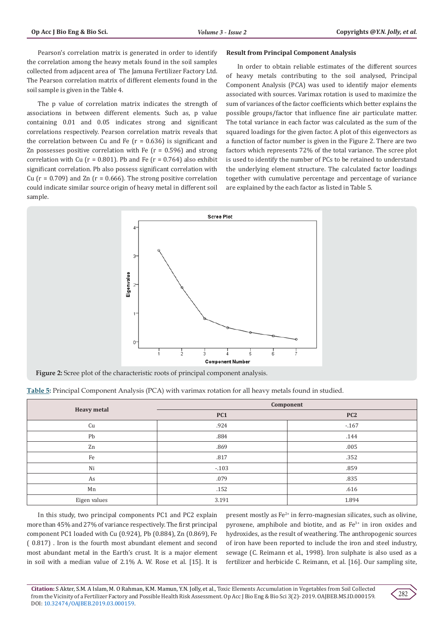Pearson's correlation matrix is generated in order to identify the correlation among the heavy metals found in the soil samples collected from adjacent area of The Jamuna Fertilizer Factory Ltd. The Pearson correlation matrix of different elements found in the soil sample is given in the Table 4.

The p value of correlation matrix indicates the strength of associations in between different elements. Such as, p value containing 0.01 and 0.05 indicates strong and significant correlations respectively. Pearson correlation matrix reveals that the correlation between Cu and Fe ( $r = 0.636$ ) is significant and Zn possesses positive correlation with Fe  $(r = 0.596)$  and strong correlation with Cu ( $r = 0.801$ ). Pb and Fe ( $r = 0.764$ ) also exhibit significant correlation. Pb also possess significant correlation with Cu ( $r = 0.709$ ) and Zn ( $r = 0.666$ ). The strong positive correlation could indicate similar source origin of heavy metal in different soil sample.

#### **Result from Principal Component Analysis**

In order to obtain reliable estimates of the different sources of heavy metals contributing to the soil analysed, Principal Component Analysis (PCA) was used to identify major elements associated with sources. Varimax rotation is used to maximize the sum of variances of the factor coefficients which better explains the possible groups/factor that influence fine air particulate matter. The total variance in each factor was calculated as the sum of the squared loadings for the given factor. A plot of this eigenvectors as a function of factor number is given in the Figure 2. There are two factors which represents 72% of the total variance. The scree plot is used to identify the number of PCs to be retained to understand the underlying element structure. The calculated factor loadings together with cumulative percentage and percentage of variance are explained by the each factor as listed in Table 5.



**Figure 2:** Scree plot of the characteristic roots of principal component analysis.

| Table 5: Principal Component Analysis (PCA) with varimax rotation for all heavy metals found in studied. |  |
|----------------------------------------------------------------------------------------------------------|--|
|----------------------------------------------------------------------------------------------------------|--|

|                    |        | Component       |
|--------------------|--------|-----------------|
| <b>Heavy metal</b> | PC1    | PC <sub>2</sub> |
| Cu                 | .924   | $-167$          |
| Pb                 | .884   | .144            |
| Zn                 | .869   | .005            |
| Fe                 | .817   | .352            |
| Ni                 | $-103$ | .859            |
| As                 | .079   | .835            |
| Mn                 | .152   | .616            |
| Eigen values       | 3.191  | 1.894           |

In this study, two principal components PC1 and PC2 explain more than 45% and 27% of variance respectively. The first principal component PC1 loaded with Cu (0.924), Pb (0.884), Zn (0.869), Fe ( 0.817) . Iron is the fourth most abundant element and second most abundant metal in the Earth's crust. It is a major element in soil with a median value of 2.1% A. W. Rose et al. [15]. It is

present mostly as  $Fe^{2+}$  in ferro-magnesian silicates, such as olivine, pyroxene, amphibole and biotite, and as  $Fe<sup>3+</sup>$  in iron oxides and hydroxides, as the result of weathering. The anthropogenic sources of iron have been reported to include the iron and steel industry, sewage (C. Reimann et al., 1998). Iron sulphate is also used as a fertilizer and herbicide C. Reimann, et al. [16]. Our sampling site,

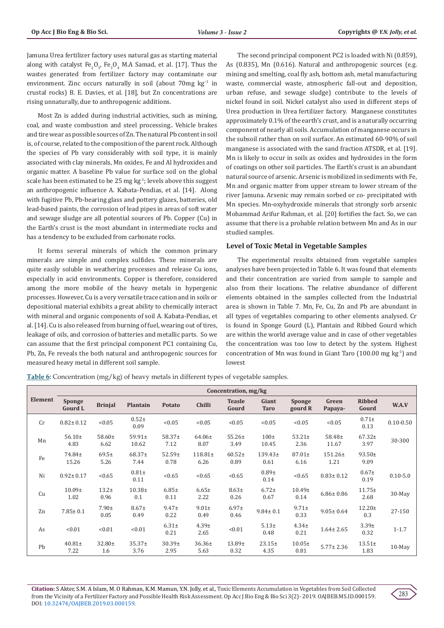Jamuna Urea fertilizer factory uses natural gas as starting material along with catalyst  $Fe<sub>2</sub>O<sub>3</sub>$ ,  $Fe<sub>3</sub>O<sub>4</sub>$  M.A Samad, et al. [17]. Thus the wastes generated from fertilizer factory may contaminate our environment. Zinc occurs naturally in soil (about 70mg kg<sup>-1</sup> in crustal rocks) B. E. Davies, et al. [18], but Zn concentrations are rising unnaturally, due to anthropogenic additions.

Most Zn is added during industrial activities, such as mining, coal, and waste combustion and steel processing.. Vehicle brakes and tire wear as possible sources of Zn. The natural Pb content in soil is, of course, related to the composition of the parent rock. Although the species of Pb vary considerably with soil type, it is mainly associated with clay minerals, Mn oxides, Fe and Al hydroxides and organic matter. A baseline Pb value for surface soil on the global scale has been estimated to be 25 mg kg<sup>-1</sup>; levels above this suggest an anthropogenic influence A. Kabata-Pendias, et al. [14]. Along with fugitive Pb, Pb-bearing glass and pottery glazes, batteries, old lead-based paints, the corrosion of lead pipes in areas of soft water and sewage sludge are all potential sources of Pb. Copper (Cu) in the Earth's crust is the most abundant in intermediate rocks and has a tendency to be excluded from carbonate rocks.

It forms several minerals of which the common primary minerals are simple and complex sulfides. These minerals are quite easily soluble in weathering processes and release Cu ions, especially in acid environments. Copper is therefore, considered among the more mobile of the heavy metals in hypergenic processes. However, Cu is a very versatile trace cation and in soils or depositional material exhibits a great ability to chemically interact with mineral and organic components of soil A. Kabata-Pendias, et al. [14]. Cu is also released from burning of fuel, wearing out of tires, leakage of oils, and corrosion of batteries and metallic parts. So we can assume that the first principal component PC1 containing Cu, Pb, Zn, Fe reveals the both natural and anthropogenic sources for measured heavy metal in different soil sample.

The second principal component PC2 is loaded with Ni (0.859), As (0.835), Mn (0.616). Natural and anthropogenic sources (e.g. mining and smelting, coal fly ash, bottom ash, metal manufacturing waste, commercial waste, atmospheric fall-out and deposition, urban refuse, and sewage sludge) contribute to the levels of nickel found in soil. Nickel catalyst also used in different steps of Urea production in Urea fertilizer factory. Manganese constitutes approximately 0.1% of the earth's crust, and is a naturally occurring component of nearly all soils. Accumulation of manganese occurs in the subsoil rather than on soil surface. An estimated 60-90% of soil manganese is associated with the sand fraction ATSDR, et al. [19]. Mn is likely to occur in soils as oxides and hydroxides in the form of coatings on other soil particles. The Earth's crust is an abundant natural source of arsenic. Arsenic is mobilized in sediments with Fe, Mn and organic matter from upper stream to lower stream of the river Jamuna. Arsenic may remain sorbed or co- precipitated with Mn species. Mn-oxyhydroxide minerals that strongly sorb arsenic Mohammad Arifur Rahman, et al. [20] fortifies the fact. So, we can assume that there is a probable relation between Mn and As in our studied samples.

## **Level of Toxic Metal in Vegetable Samples**

The experimental results obtained from vegetable samples analyses have been projected in Table 6. It was found that elements and their concentration are varied from sample to sample and also from their locations. The relative abundance of different elements obtained in the samples collected from the Industrial area is shown in Table 7. Mn, Fe, Cu, Zn and Pb are abundant in all types of vegetables comparing to other elements analysed. Cr is found in Sponge Gourd (L), Plantain and Ribbed Gourd which are within the world average value and in case of other vegetables the concentration was too low to detect by the system. Highest concentration of Mn was found in Giant Taro  $(100.00 \text{ mg kg}^{-1})$  and lowest

**Table 6:** Concentration (mg/kg) of heavy metals in different types of vegetable samples.

|         | Concentration, mg/kg       |                     |                      |                     |                      |                        |                      |                            |                      |                        |               |
|---------|----------------------------|---------------------|----------------------|---------------------|----------------------|------------------------|----------------------|----------------------------|----------------------|------------------------|---------------|
| Element | Sponge<br><b>Gourd L</b>   | <b>Brinjal</b>      | Plantain             | Potato              | <b>Chilli</b>        | <b>Teasle</b><br>Gourd | Giant<br><b>Taro</b> | <b>Sponge</b><br>gourd R   | Green<br>Papaya-     | <b>Ribbed</b><br>Gourd | W.A.V         |
| Cr      | $0.82 \pm 0.12$            | < 0.05              | $0.52+$<br>0.09      | < 0.05              | < 0.05               | < 0.05                 | < 0.05               | < 0.05                     | < 0.05               | $0.71 \pm$<br>0.13     | $0.10 - 0.50$ |
| Mn      | $56.10 \pm$<br>4.83        | $58.60 \pm$<br>6.62 | $59.91 \pm$<br>10.62 | $58.37 \pm$<br>7.12 | $64.06\pm$<br>8.07   | $55.26 \pm$<br>3.49    | $100\pm$<br>10.45    | $53.21 \pm$<br>2.36        | $58.48 \pm$<br>11.67 | $67.32 \pm$<br>3.97    | 30-300        |
| Fe      | 74.84±<br>15.26            | $69.5+$<br>5.26     | 68.37±<br>7.44       | $52.59+$<br>0.78    | $118.81 \pm$<br>6.26 | $60.52 \pm$<br>0.89    | $139.43+$<br>0.61    | $87.01 \pm$<br>6.16        | $151.26 \pm$<br>1.21 | $93.50 \pm$<br>9.09    |               |
| Ni      | $0.92 \pm 0.17$            | < 0.65              | $0.81\pm$<br>0.11    | < 0.65              | < 0.65               | < 0.65                 | $0.89 +$<br>0.14     | < 0.65                     | $0.83 \pm 0.12$      | $0.67\pm$<br>0.19      | $0.10 - 5.0$  |
| Cu      | 10.09 <sub>±</sub><br>1.02 | $13.2+$<br>0.96     | $10.38 +$<br>0.1     | $6.85 \pm$<br>0.11  | $6.65 \pm$<br>2.22   | $8.63+$<br>0.26        | $6.72+$<br>0.67      | 10.49 <sub>±</sub><br>0.14 | $6.86 \pm 0.86$      | $11.75+$<br>2.68       | 30-May        |
| Zn      | $7.85 \pm 0.1$             | $7.90+$<br>0.05     | $8.67 \pm$<br>0.49   | $9.47 \pm$<br>0.22  | $9.01 \pm$<br>0.49   | $6.97 +$<br>0.46       | $9.84 \pm 0.1$       | $9.71 \pm$<br>0.33         | $9.05 \pm 0.64$      | $12.20 \pm$<br>0.3     | 27-150        |
| As      | < 0.01                     | < 0.01              | < 0.01               | $6.31 \pm$<br>0.21  | $4.39+$<br>2.65      | < 0.01                 | $5.13+$<br>0.48      | $4.34 \pm$<br>0.21         | $1.64 \pm 2.65$      | 3.39±<br>0.32          | $1 - 1.7$     |
| Pb      | $40.81 \pm$<br>7.22        | 32.80±<br>1.6       | $35.37+$<br>3.76     | $30.39+$<br>2.95    | $36.36\pm$<br>5.63   | $13.89+$<br>0.32       | $23.15+$<br>4.35     | $10.05\pm$<br>0.81         | $5.77 \pm 2.36$      | $13.51 \pm$<br>1.83    | $10$ -May     |

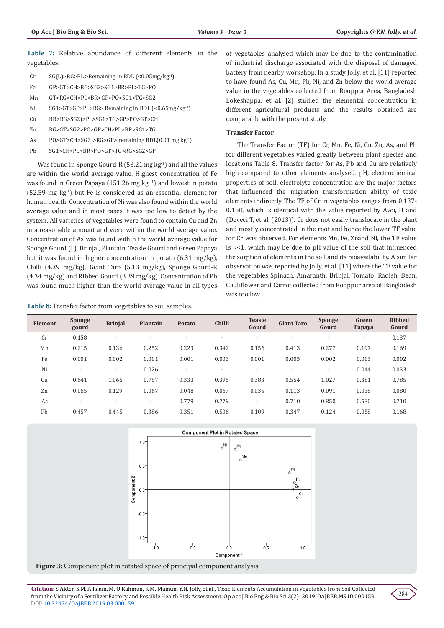**Table 7:** Relative abundance of different elements in the vegetables.

| Cr  | $SG(L) > RG > PL >$ Remaining in BDL (< $0.05$ mg/kg <sup>-1</sup> )         |
|-----|------------------------------------------------------------------------------|
| Fe. | GP>GT>CH>RG>SG2>SG1>BR>PL>TG>PO                                              |
| Mn  | GT>RG>CH>PL>BR>GP>PO>SG1>TG>SG2                                              |
| Ni  | $SG1 > GT > GP > PL > RG >$ Remaining in BDL (< $0.65$ mg/kg <sup>-1</sup> ) |
| Cu  | BR>RG>SG2)>PL>SG1>TG>GP>PO>GT>CH                                             |
| 7.n | RG>GT>SG2>PO>GP>CH>PL>BR>SG1>TG                                              |
| As  | $PO > GT > CH > SG2$ )>RG>GP> remaining BDL(0.01 mg kg <sup>-1</sup> )       |
| Ph  | SG1>CH>PL>BR>PO>GT>TG>RG>SG2>GP                                              |

Was found in Sponge Gourd-R  $(53.21 \text{ mg kg}^{-1})$  and all the values are within the world average value. Highest concentration of Fe was found in Green Papaya (151.26 mg kg -1) and lowest in potato (52.59 mg kg-1) but Fe is considered as an essential element for human health. Concentration of Ni was also found within the world average value and in most cases it was too low to detect by the system. All varieties of vegetables were found to contain Cu and Zn in a reasonable amount and were within the world average value. Concentration of As was found within the world average value for Sponge Gourd (L), Brinjal, Plantain, Teasle Gourd and Green Papaya but it was found in higher concentration in potato (6.31 mg/kg), Chilli (4.39 mg/kg), Giant Taro (5.13 mg/kg), Sponge Gourd-R (4.34 mg/kg) and Ribbed Gourd (3.39 mg/kg). Concentration of Pb was found much higher than the world average value in all types

**Table 8:** Transfer factor from vegetables to soil samples.

of vegetables analysed which may be due to the contamination of industrial discharge associated with the disposal of damaged battery from nearby workshop. In a study Jolly, et al. [11] reported to have found As, Cu, Mn, Pb, Ni, and Zn below the world average value in the vegetables collected from Rooppur Area, Bangladesh Lokeshappa, et al. [2] studied the elemental concentration in different agricultural products and the results obtained are comparable with the present study.

## **Transfer Factor**

The Transfer Factor (TF) for Cr, Mn, Fe, Ni, Cu, Zn, As, and Pb for different vegetables varied greatly between plant species and locations Table 8. Transfer factor for As, Pb and Cu are relatively high compared to other elements analysed. pH, electrochemical properties of soil, electrolyte concentration are the major factors that influenced the migration transformation ability of toxic elements indirectly. The TF of Cr in vegetables ranges from 0.137- 0.158, which is identical with the value reported by Avci, H and (Deveci T, et al. (2013)). Cr does not easily translocate in the plant and mostly concentrated in the root and hence the lower TF value for Cr was observed. For elements Mn, Fe, Znand Ni, the TF value is <<1, which may be due to pH value of the soil that influenced the sorption of elements in the soil and its bioavailability. A similar observation was reported by Jolly, et al. [11] where the TF value for the vegetables Spinach, Amaranth, Brinjal, Tomato, Radish, Bean, Cauliflower and Carrot collected from Rooppur area of Bangladesh was too low.

| Element | <b>Sponge</b><br>gourd   | <b>Brinjal</b>           | Plantain                 | Potato                   | <b>Chilli</b>            | <b>Teasle</b><br>Gourd   | <b>Giant Taro</b> | <b>Sponge</b><br>Gourd   | Green<br>Papaya          | <b>Ribbed</b><br>Gourd |
|---------|--------------------------|--------------------------|--------------------------|--------------------------|--------------------------|--------------------------|-------------------|--------------------------|--------------------------|------------------------|
| Cr      | 0.158                    | $\overline{a}$           | $\overline{\phantom{0}}$ | $\overline{\phantom{a}}$ | $\overline{\phantom{a}}$ |                          |                   | $\overline{\phantom{a}}$ | $\overline{\phantom{a}}$ | 0.137                  |
| Mn      | 0.215                    | 0.136                    | 0.252                    | 0.223                    | 0.342                    | 0.156                    | 0.413             | 0.277                    | 0.197                    | 0.169                  |
| Fe      | 0.001                    | 0.002                    | 0.001                    | 0.001                    | 0.003                    | 0.001                    | 0.005             | 0.002                    | 0.003                    | 0.002                  |
| Ni      | $\overline{\phantom{0}}$ | $\overline{\phantom{0}}$ | 0.026                    | $\blacksquare$           | $\overline{\phantom{a}}$ | $\overline{\phantom{0}}$ |                   |                          | 0.044                    | 0.033                  |
| Cu      | 0.641                    | 1.065                    | 0.757                    | 0.333                    | 0.395                    | 0.383                    | 0.554             | 1.027                    | 0.381                    | 0.785                  |
| Zn      | 0.065                    | 0.129                    | 0.067                    | 0.048                    | 0.067                    | 0.035                    | 0.113             | 0.091                    | 0.038                    | 0.080                  |
| As      | $\overline{\phantom{a}}$ | ٠                        | $\overline{\phantom{a}}$ | 0.779                    | 0.779                    | $\overline{\phantom{a}}$ | 0.710             | 0.850                    | 0.530                    | 0.710                  |
| Pb      | 0.457                    | 0.445                    | 0.386                    | 0.351                    | 0.506                    | 0.109                    | 0.347             | 0.124                    | 0.058                    | 0.168                  |



**Figure 3:** Component plot in rotated space of principal component analysis.

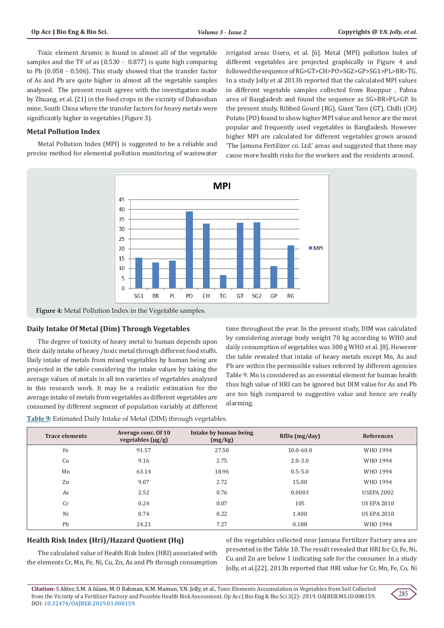Toxic element Arsenic is found in almost all of the vegetable samples and the TF of as (0.530 - 0.877) is quite high comparing to Pb (0.058 - 0.506). This study showed that the transfer factor of As and Pb are quite higher in almost all the vegetable samples analysed. The present result agrees with the investigation made by Zhuang, et al. [21] in the food crops in the vicinity of Dabaoshan mine, South China where the transfer factors for heavy metals were significantly higher in vegetables (Figure 3).

## **Metal Pollution Index**

Metal Pollution Index (MPI) is suggested to be a reliable and precise method for elemental pollution monitoring of wastewater irrigated areas Usero, et al. [6]. Metal (MPI) pollution Index of different vegetables are projected graphically in Figure 4 and followed the sequence of RG>GT>CH>PO>SG2>GP>SG1>PL>BR>TG. In a study Jolly et al 2013b reported that the calculated MPI values in different vegetable samples collected from Rooppur , Pabna area of Bangladesh and found the sequence as SG>BR>PL>GP. In the present study, Ribbed Gourd (RG), Giant Taro (GT), Chilli (CH) Potato (PO) found to show higher MPI value and hence are the most popular and frequently used vegetables in Bangladesh. However higher MPI are calculated for different vegetables grown around 'The Jamuna Fertilizer co. Ltd.' areas and suggested that these may cause more health risks for the workers and the residents around.



**Figure 4:** Metal Pollution Index in the Vegetable samples.

# **Daily Intake Of Metal (Dim) Through Vegetables**

The degree of toxicity of heavy metal to human depends upon their daily intake of heavy /toxic metal through different food stuffs. Daily intake of metals from mixed vegetables by human being are projected in the table considering the intake values by taking the average values of metals in all ten varieties of vegetables analyzed in this research work. It may be a realistic estimation for the average intake of metals from vegetables as different vegetables are consumed by different segment of population variably at different time throughout the year. In the present study, DIM was calculated by considering average body weight 70 kg according to WHO and daily consumption of vegetables was 300 g WHO et al. [8]. However the table revealed that intake of heavy metals except Mn, As and Pb are within the permissible values referred by different agencies Table 9. Mn is considered as an essential element for human health thus high value of HRI can be ignored but DIM value for As and Pb are too high compared to suggestive value and hence are really alarming.

**Table 9:** Estimated Daily Intake of Metal (DIM) through vegetables.

| <b>Trace elements</b> | Average conc. Of 10<br>vegetables $(\mu g/g)$ | Intake by human being<br>(mg/kg) | RfDa (mg/day) | <b>References</b>  |
|-----------------------|-----------------------------------------------|----------------------------------|---------------|--------------------|
| Fe                    | 91.57                                         | 27.50                            | $10.0 - 60.0$ | WHO 1994           |
| Cu                    | 9.16                                          | 2.75                             | $2.0 - 3.0$   | WHO 1994           |
| Mn                    | 63.14                                         | 18.96                            | $0.5 - 5.0$   | WHO 1994           |
| Zn                    | 9.07                                          | 2.72                             | 15.00         | WHO 1994           |
| As                    | 2.52                                          | 0.76                             | 0.0003        | <b>USEPA 2002</b>  |
| Cr                    | 0.24                                          | 0.07                             | 105           | <b>US EPA 2010</b> |
| Ni                    | 0.74                                          | 0.22                             | 1.400         | <b>US EPA 2010</b> |
| Pb                    | 24.21                                         | 7.27                             | 0.188         | WHO 1994           |

## **Health Risk Index (Hri)/Hazard Quotient (Hq)**

The calculated value of Health Risk Index (HRI) associated with the elements Cr, Mn, Fe, Ni, Cu, Zn, As and Pb through consumption

of the vegetables collected near Jamuna Fertilizer Factory area are presented in the Table 10. The result revealed that HRI for Cr, Fe, Ni, Cu and Zn are below 1 indicating safe for the consumer. In a study Jolly, et al.[22], 2013b reported that HRI value for Cr, Mn, Fe, Co, Ni

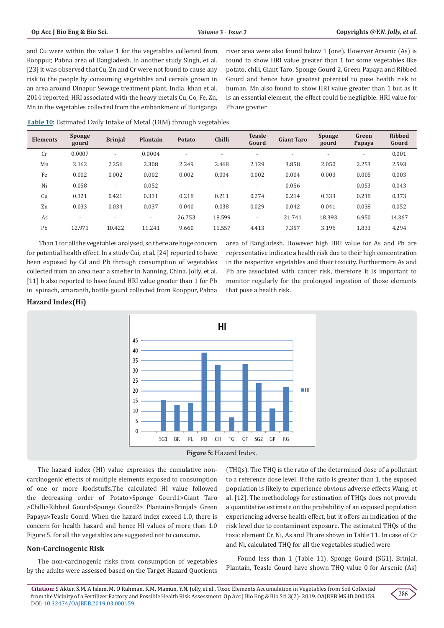and Cu were within the value 1 for the vegetables collected from Rooppur, Pabna area of Bangladesh. In another study Singh, et al. [23] it was observed that Cu, Zn and Cr were not found to cause any risk to the people by consuming vegetables and cereals grown in an area around Dinapur Sewage treatment plant, India. khan et al. 2014 reported, HRI associated with the heavy metals Cu, Co, Fe, Zn, Mn in the vegetables collected from the embankment of Buriganga

river area were also found below 1 (one). However Arsenic (As) is found to show HRI value greater than 1 for some vegetables like potato, chili, Giant Taro, Sponge Gourd 2, Green Papaya and Ribbed Gourd and hence have greatest potential to pose health risk to human. Mn also found to show HRI value greater than 1 but as it is an essential element, the effect could be negligible. HRI value for Pb are greater

**Table 10:** Estimated Daily Intake of Metal (DIM) through vegetables.

| <b>Elements</b> | <b>Sponge</b><br>gourd   | <b>Brinjal</b>           | Plantain                 | Potato                   | <b>Chilli</b>            | <b>Teasle</b><br>Gourd   | <b>Giant Taro</b> | <b>Sponge</b><br>gourd | Green<br>Papaya          | <b>Ribbed</b><br>Gourd |
|-----------------|--------------------------|--------------------------|--------------------------|--------------------------|--------------------------|--------------------------|-------------------|------------------------|--------------------------|------------------------|
| Cr              | 0.0007                   | ۰                        | 0.0004                   | $\overline{\phantom{a}}$ |                          |                          |                   |                        | $\overline{\phantom{a}}$ | 0.001                  |
| Mn              | 2.162                    | 2.256                    | 2.308                    | 2.249                    | 2.468                    | 2.129                    | 3.858             | 2.050                  | 2.253                    | 2.593                  |
| Fe              | 0.002                    | 0.002                    | 0.002                    | 0.002                    | 0.004                    | 0.002                    | 0.004             | 0.003                  | 0.005                    | 0.003                  |
| Ni              | 0.058                    | $\overline{\phantom{a}}$ | 0.052                    | $\overline{\phantom{0}}$ | $\overline{\phantom{a}}$ | $\overline{\phantom{a}}$ | 0.056             |                        | 0.053                    | 0.043                  |
| Cu              | 0.321                    | 0.421                    | 0.331                    | 0.218                    | 0.211                    | 0.274                    | 0.214             | 0.333                  | 0.218                    | 0.373                  |
| Zn              | 0.033                    | 0.034                    | 0.037                    | 0.040                    | 0.038                    | 0.029                    | 0.042             | 0.041                  | 0.038                    | 0.052                  |
| As              | $\overline{\phantom{a}}$ | ۰                        | $\overline{\phantom{0}}$ | 26.753                   | 18.599                   | $\overline{\phantom{a}}$ | 21.741            | 18.393                 | 6.950                    | 14.367                 |
| Pb              | 12.971                   | 10.422                   | 11.241                   | 9.660                    | 11.557                   | 4.413                    | 7.357             | 3.196                  | 1.833                    | 4.294                  |

 Than 1 for all the vegetables analysed, so there are huge concern for potential health effect. In a study Cui, et al. [24] reported to have been exposed by Cd and Pb through consumption of vegetables collected from an area near a smelter in Nanning, China. Jolly, et al. [11] b also reported to have found HRI value greater than 1 for Pb in spinach, amaranth, bottle gourd collected from Rooppur, Pabna

area of Bangladesh. However high HRI value for As and Pb are representative indicate a health risk due to their high concentration in the respective vegetables and their toxicity. Furthermore As and Pb are associated with cancer risk, therefore it is important to monitor regularly for the prolonged ingestion of those elements that pose a health risk.

# **Hazard Index(Hi)**



The hazard index (HI) value expresses the cumulative noncarcinogenic effects of multiple elements exposed to consumption of one or more foodstuffs.The calculated HI value followed the decreasing order of Potato>Sponge Gourd1>Giant Taro >Chilli>Ribbed Gourd>Sponge Gourd2> Plantain>Brinjal> Green Papaya>Teasle Gourd. When the hazard index exceed 1.0, there is concern for health hazard and hence HI values of more than 1.0 Figure 5. for all the vegetables are suggested not to consume.

# **Non-Carcinogenic Risk**

The non-carcinogenic risks from consumption of vegetables by the adults were assessed based on the Target Hazard Quotients (THQs). The THQ is the ratio of the determined dose of a pollutant to a reference dose level. If the ratio is greater than 1, the exposed population is likely to experience obvious adverse effects Wang, et al. [12]. The methodology for estimation of THQs does not provide a quantitative estimate on the probability of an exposed population experiencing adverse health effect, but it offers an indication of the risk level due to contaminant exposure. The estimated THQs of the toxic element Cr, Ni, As and Pb are shown in Table 11. In case of Cr and Ni, calculated THQ for all the vegetables studied were

Found less than 1 (Table 11). Sponge Gourd (SG1), Brinjal, Plantain, Teasle Gourd have shown THQ value 0 for Arsenic (As)

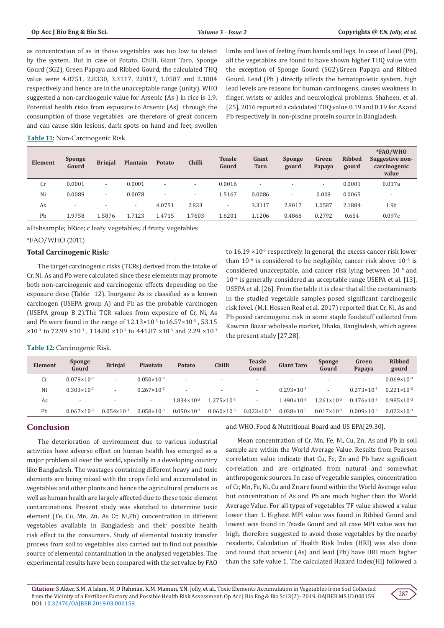as concentration of as in those vegetables was too low to detect by the system. But in case of Potato, Chilli, Giant Taro, Sponge Gourd (SG2), Green Papaya and Ribbed Gourd, the calculated THQ value were 4.0751, 2.8330, 3.3117, 2.8017, 1.0587 and 2.1884 respectively and hence are in the unacceptable range (unity). WHO suggested a non-carcinogenic value for Arsenic (As ) in rice is 1.9. Potential health risks from exposure to Arsenic (As) through the consumption of those vegetables are therefore of great concern and can cause skin lesions, dark spots on hand and feet, swollen

limbs and loss of feeling from hands and legs. In case of Lead (Pb), all the vegetables are found to have shown higher THQ value with the exception of Sponge Gourd (SG2).Green Papaya and Ribbed Gourd. Lead (Pb ) directly affects the hematopoietic system, high lead levels are reasons for human carcinogens, causes weakness in finger, wrists or ankles and neurological problems. Shaheen, et al. [25], 2016 reported a calculated THQ value 0.19 and 0.19 for As and Pb respectively in non-piscine protein source in Bangladesh.

**Table 11:** Non-Carcinogenic Risk.

| Element | <b>Sponge</b><br>Gourd   | <b>Brinjal</b>           | Plantain                 | Potato                   | <b>Chilli</b>            | <b>Teasle</b><br>Gourd   | Giant<br><b>Taro</b>     | <b>Sponge</b><br>gourd | Green<br>Papaya          | <b>Ribbed</b><br>gourd | *FAO/WHO<br>Suggestive non-<br>carcinogenic<br>value |
|---------|--------------------------|--------------------------|--------------------------|--------------------------|--------------------------|--------------------------|--------------------------|------------------------|--------------------------|------------------------|------------------------------------------------------|
| Cr      | 0.0001                   | $\overline{\phantom{0}}$ | 0.0001                   | $\overline{\phantom{a}}$ | $\overline{\phantom{a}}$ | 0.0016                   | $\overline{\phantom{a}}$ |                        | $\overline{\phantom{a}}$ | 0.0001                 | 0.017a                                               |
| Ni      | 0.0089                   | $\overline{\phantom{a}}$ | 0.0078                   | $\overline{\phantom{a}}$ |                          | 1.5167                   | 0.0086                   |                        | 0.008                    | 0.0065                 | $\overline{\phantom{a}}$                             |
| As      | $\overline{\phantom{0}}$ |                          | $\overline{\phantom{0}}$ | 4.0751                   | 2.833                    | $\overline{\phantom{a}}$ | 3.3117                   | 2.8017                 | 1.0587                   | 2.1884                 | 1.9 <sub>b</sub>                                     |
| Pb      | 1.9758                   | 1.5876                   | 1.7123                   | 1.4715                   | 1.7603                   | 1.6201                   | 1.1206                   | 0.4868                 | 0.2792                   | 0.654                  | 0.097c                                               |

aFishsample; bRice; c leafy vegetables; d fruity vegetables

## \*FAO/WHO (2011)

# **Total Carcinogenic Risk:**

The target carcinogenic risks (TCRs) derived from the intake of Cr, Ni, As and Pb were calculated since these elements may promote both non-carcinogenic and carcinogenic effects depending on the exposure dose (Table 12). Inorganic As is classified as a known carcinogen (USEPA group A) and Pb as the probable carcinogen (USEPA group B 2).The TCR values from exposure of Cr, Ni, As and Pb were found in the range of  $12.13 \times 10^{-3}$  to $16.57 \times 10^{-3}$ , 53.15  $\times10^{-3}$  to 72.99  $\times10^{-3}$ , 114.80  $\times10^{-3}$  to 441.87  $\times10^{-3}$  and 2.29  $\times10^{-3}$ 

to  $16.19 \times 10^{-3}$  respectively. In general, the excess cancer risk lower than 10−6 is considered to be negligible, cancer risk above 10−4 is considered unacceptable, and cancer risk lying between 10−6 and 10−4 is generally considered an acceptable range USEPA et al. [13], USEPA et al. [26]. From the table it is clear that all the contaminants in the studied vegetable samples posed significant carcinogenic risk level. (M.I. Hossen Real et al. 2017) reported that Cr, Ni, As and Pb posed carcinogenic risk in some staple foodstuff collected from Kawran Bazar wholesale market, Dhaka, Bangladesh, which agrees the present study [27,28].

**Table 12:** Carcinogenic Risk.

| Element | <b>Sponge</b><br>Gourd   | <b>Brinjal</b>         | <b>Plantain</b>          | Potato                 | <b>Chilli</b>            | <b>Teasle</b><br>Gourd   | <b>Giant Taro</b>        | <b>Sponge</b><br>Gourd | Green<br>Papaya        | <b>Ribbed</b><br>gourd |
|---------|--------------------------|------------------------|--------------------------|------------------------|--------------------------|--------------------------|--------------------------|------------------------|------------------------|------------------------|
| Cr      | $0.079 \times 10^{-3}$   |                        | $0.050 \times 10^{-3}$   |                        | $\overline{\phantom{0}}$ | $\overline{\phantom{a}}$ | $\overline{\phantom{a}}$ |                        | -                      | $0.069 \times 10^{-3}$ |
| Ni      | $0.303 \times 10^{-3}$   |                        | $0.267 \times 10^{-3}$   |                        |                          | $\overline{\phantom{a}}$ | $0.293 \times 10^{-3}$   |                        | $0.273 \times 10^{-3}$ | $0.221 \times 10^{-3}$ |
| As      | $\overline{\phantom{a}}$ |                        | $\overline{\phantom{0}}$ | $1.834 \times 10^{-3}$ | $1.275 \times 10^{-3}$   |                          | $1.490 \times 10^{-3}$   | $1.261 \times 10^{-3}$ | $0.476 \times 10^{-3}$ | $0.985 \times 10^{-3}$ |
| Pb      | $0.067 \times 10^{-3}$   | $0.054 \times 10^{-3}$ | $0.058 \times 10^{-3}$   | $0.050 \times 10^{-3}$ | $0.060 \times 10^{-3}$   | $0.023 \times 10^{-3}$   | $0.038 \times 10^{-3}$   | $0.017 \times 10^{-3}$ | $0.009 \times 10^{-3}$ | $0.022 \times 10^{-3}$ |

# **Conclusion**

The deterioration of environment due to various industrial activities have adverse effect on human health has emerged as a major problem all over the world, specially in a developing country like Bangladesh. The wastages containing different heavy and toxic elements are being mixed with the crops field and accumulated in vegetables and other plants and hence the agricultural products as well as human health are largely affected due to these toxic element contaminations. Present study was sketched to determine toxic element (Fe, Cu, Mn, Zn, As Cr, Ni,Pb) concentration in different vegetables available in Bangladesh and their possible health risk effect to the consumers. Study of elemental toxicity transfer process from soil to vegetables also carried out to find out possible source of elemental contamination in the analysed vegetables. The experimental results have been compared with the set value by FAO

and WHO, Food & Nutritional Board and US EPA[29,30].

Mean concentration of Cr, Mn, Fe, Ni, Cu, Zn, As and Pb in soil sample are within the World Average Value. Results from Pearson correlation value indicate that Cu, Fe, Zn and Pb have significant co-relation and are originated from natural and somewhat anthropogenic sources. In case of vegetable samples, concentration of Cr, Mn, Fe, Ni, Cu and Zn are found within the World Average value but concentration of As and Pb are much higher than the World Average Value. For all types of vegetables TF value showed a value lower than 1. Highest MPI value was found in Ribbed Gourd and lowest was found in Teasle Gourd and all case MPI value was too high, therefore suggested to avoid those vegetables by the nearby residents. Calculation of Health Risk Index (HRI) was also done and found that arsenic (As) and lead (Pb) have HRI much higher than the safe value 1. The calculated Hazard Index(HI) followed a

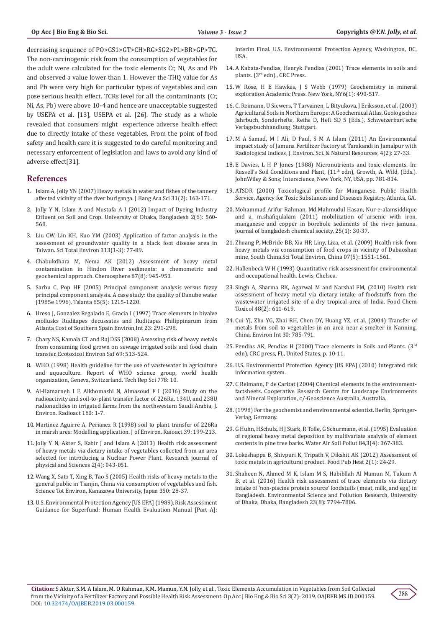decreasing sequence of PO>GS1>GT>CH>RG>SG2>PL>BR>GP>TG. The non-carcinogenic risk from the consumption of vegetables for the adult were calculated for the toxic elements Cr, Ni, As and Pb and observed a value lower than 1. However the THQ value for As and Pb were very high for particular types of vegetables and can pose serious health effect. TCRs level for all the contaminants (Cr, Ni, As, Pb) were above 10-4 and hence are unacceptable suggested by USEPA et al. [13], USEPA et al. [26]. The study as a whole revealed that consumers might experience adverse health effect due to directly intake of these vegetables. From the point of food safety and health care it is suggested to do careful monitoring and necessary enforcement of legislation and laws to avoid any kind of adverse effect[31].

# **References**

- 1. Islam A, Jolly YN (2007) Heavy metals in water and fishes of the tannery affected vicinity of the river buriganga. J Bang Aca Sci 31(2): 163-171.
- 2. [Jolly Y N, Islam A and Mustafa A I \(2012\) Impact of Dyeing Industry](http://www.environmentaljournal.org/2-6/ujert-2-6-11.pdf)  [Effluent on Soil and Crop. University of Dhaka, Bangladesh 2\(6\): 560-](http://www.environmentaljournal.org/2-6/ujert-2-6-11.pdf) [568.](http://www.environmentaljournal.org/2-6/ujert-2-6-11.pdf)
- 3. [Liu CW, Lin KH, Kuo YM \(2003\) Application of factor analysis in the](https://www.ncbi.nlm.nih.gov/pubmed/12922062)  [assessment of groundwater quality in a black foot disease area in](https://www.ncbi.nlm.nih.gov/pubmed/12922062)  [Taiwan. Sci Total Environ 313\(1-3\): 77-89.](https://www.ncbi.nlm.nih.gov/pubmed/12922062)
- 4. [Chabukdhara M, Nema AK \(2012\) Assessment of heavy metal](https://www.ncbi.nlm.nih.gov/pubmed/22406241)  [contamination in Hindon River sediments: a chemometric and](https://www.ncbi.nlm.nih.gov/pubmed/22406241)  [geochemical approach. Chemosphere 87\(8\): 945-953](https://www.ncbi.nlm.nih.gov/pubmed/22406241).
- 5. [Sarbu C, Pop HF \(2005\) Principal component analysis versus fuzzy](https://www.ncbi.nlm.nih.gov/pubmed/18969934)  [principal component analysis. A case study: the quality of Danube water](https://www.ncbi.nlm.nih.gov/pubmed/18969934)  [\(1985e 1996\). Talanta 65\(5\): 1215-1220.](https://www.ncbi.nlm.nih.gov/pubmed/18969934)
- 6. Ureso J, Gonzalez Regalado E, Gracia I (1997) Trace elements in bivalve mollusks Ruditapes decussates and Ruditapes Philippinarum from Atlanta Cost of Southern Spain Environ,Int 23: 291-298.
- 7. [Chary NS, Kamala CT and Raj DSS \(2008\) Assessing risk of heavy metals](https://www.ncbi.nlm.nih.gov/pubmed/17555815)  [from consuming food grown on sewage irrigated soils and food chain](https://www.ncbi.nlm.nih.gov/pubmed/17555815)  [transfer. Ecotoxicol Environ Saf 69: 513-524.](https://www.ncbi.nlm.nih.gov/pubmed/17555815)
- 8. WHO (1998) Health guideline for the use of wastewater in agriculture and aquaculture. Report of WHO science group, world health organization, Geneva, Switzerland. Tech Rep Sci 778: 10.
- 9. [Al-Hamarneh I F, Alkhomashi N, Almasoud F I \(2016\) Study on the](https://www.ncbi.nlm.nih.gov/pubmed/27108351)  [radioactivity and soil-to-plant transfer factor of 226Ra, 134U, and 238U](https://www.ncbi.nlm.nih.gov/pubmed/27108351)  [radionuclides in irrigated farms from the northwestern Saudi Arabia, J.](https://www.ncbi.nlm.nih.gov/pubmed/27108351)  [Environ. Radioact 160: 1-7.](https://www.ncbi.nlm.nih.gov/pubmed/27108351)
- 10. [Martinez Aguirre A, Perianez R \(1998\) soil to plant transfer of 226Ra](file:///C:\Users\Welcome\Desktop\2.OAJBEB-RA-19-159%20modify-new\Original\1.%09Martinez%20Aguirre%20A,%20Perianez%20R,%20(1998)%20soil%20to%20plant%20transfer%20of%20226Ra%20in%20marsh%20area:%20Modellingapplication.J%20of%20Environ.%20Raioact,%2039:%20199-213)  [in marsh area: Modelling application. J of Environ. Raioact 39: 199-213.](file:///C:\Users\Welcome\Desktop\2.OAJBEB-RA-19-159%20modify-new\Original\1.%09Martinez%20Aguirre%20A,%20Perianez%20R,%20(1998)%20soil%20to%20plant%20transfer%20of%20226Ra%20in%20marsh%20area:%20Modellingapplication.J%20of%20Environ.%20Raioact,%2039:%20199-213)
- 11. Jolly Y N, Akter S, Kabir J and Islam A (2013) Health risk assessment of heavy metals via dietary intake of vegetables collected from an area selected for introducing a Nuclear Power Plant. Research journal of physical and Sciences 2(4): 043-051.
- 12. [Wang X, Sato T, Xing B, Tao S \(2005\) Health risks of heavy metals to the](https://www.ncbi.nlm.nih.gov/pubmed/16227070)  [general public in Tianjin, China via consumption of vegetables and fish.](https://www.ncbi.nlm.nih.gov/pubmed/16227070)  [Science Tot Environ, Kanazawa University, Japan 350: 28-37.](https://www.ncbi.nlm.nih.gov/pubmed/16227070)
- 13. U.S. Environmental Protection Agency [US EPA] (1989). Risk Assessment Guidance for Superfund: Human Health Evaluation Manual [Part A]:

Interim Final. U.S. Environmental Protection Agency, Washington, DC, USA.

- 14. [A Kabata-Pendias, Henryk Pendias \(2001\) Trace elements in soils and](https://hwbdocuments.env.nm.gov/Los%20Alamos%20National%20Labs/References/9372.PDF) plants. (3rd [edn\)., CRC Press.](https://hwbdocuments.env.nm.gov/Los%20Alamos%20National%20Labs/References/9372.PDF)
- 15. [W Rose, H E Hawkes, J S Webb \(1979\) Geochemistry in mineral](https://www.scirp.org/(S(i43dyn45teexjx455qlt3d2q))/reference/ReferencesPapers.aspx?ReferenceID=1596049) [exploration Academic Press. New York, NY6\(1\): 490-517.](https://www.scirp.org/(S(i43dyn45teexjx455qlt3d2q))/reference/ReferencesPapers.aspx?ReferenceID=1596049)
- 16. [C. Reimann, U Siewers, T Tarvainen, L Bityukova, J Eriksson, et al. \(2003\)](https://www.schweizerbart.de/publications/detail/isbn/9783510959068/Agricultural_Soils_in_Northern_Europe) [Agricultural Soils in Northern Europe: A Geochemical Atlas. Geologisches](https://www.schweizerbart.de/publications/detail/isbn/9783510959068/Agricultural_Soils_in_Northern_Europe) [Jahrbuch, Sonderhefte, Reihe D, Heft SD 5 \(Eds.\), Schweizerbart'sche](https://www.schweizerbart.de/publications/detail/isbn/9783510959068/Agricultural_Soils_in_Northern_Europe) [Verlagsbuchhandlung, Stuttgart.](https://www.schweizerbart.de/publications/detail/isbn/9783510959068/Agricultural_Soils_in_Northern_Europe)
- 17. [M A Samad, M I Ali, D Paul, S M A Islam \(2011\) An Environmental](https://pdfs.semanticscholar.org/fc0d/ec5eefd08506f3ca2f429f241f7f58809e0f.pdf) [impact study of Jamuna Fertilizer Factory at Tarakandi in Jamalpur with](https://pdfs.semanticscholar.org/fc0d/ec5eefd08506f3ca2f429f241f7f58809e0f.pdf) [Radiological Indices, J. Environ. Sci. & Natural Resources, 4\(2\): 27-33.](https://pdfs.semanticscholar.org/fc0d/ec5eefd08506f3ca2f429f241f7f58809e0f.pdf)
- 18. E Davies, L H P Jones (1988) Micronutrients and toxic elements. In: Russell's Soil Conditions and Plant, (11<sup>th</sup> edn), Growth, A. Wild, (Eds.). JohnWiley & Sons; Interscience, New York, NY, USA, pp. 781-814.
- 19. [ATSDR \(2000\) Toxicological profile for Manganese. Public Health](https://www.ncbi.nlm.nih.gov/pubmed/24049862) [Service, Agency for Toxic Substances and Diseases Registry, Atlanta, GA.](https://www.ncbi.nlm.nih.gov/pubmed/24049862)
- 20. [Mohammad Arifur Rahman, Md.Mahmudul Hasan, Nur-e-alamsiddique](C://Users/Welcome/Downloads/11768-Article%20Text-43390-1-10-20120902.pdf) [and a. m.shafiqulalam \(2011\) mobilization of arsenic with iron,](C://Users/Welcome/Downloads/11768-Article%20Text-43390-1-10-20120902.pdf) [manganese and copper in borehole sediments of the river jamuna.](C://Users/Welcome/Downloads/11768-Article%20Text-43390-1-10-20120902.pdf) [journal of bangladesh chemical society, 25\(1\): 30-37.](C://Users/Welcome/Downloads/11768-Article%20Text-43390-1-10-20120902.pdf)
- 21. [Zhuang P, McBride BB, Xia HP, Liny, Liza, et al. \(2009\) Health risk from](https://www.ncbi.nlm.nih.gov/pubmed/19068266) [heavy metals viz consumption of food crops in vicinity of Dabaoshan](https://www.ncbi.nlm.nih.gov/pubmed/19068266) [mine, South China.Sci Total Environ, China 07\(5\): 1551-1561.](https://www.ncbi.nlm.nih.gov/pubmed/19068266)
- 22. Hallenbeck W H (1993) Quantitative risk assessment for environmental and occupational health. Lewis, Chelsea.
- 23. [Singh A, Sharma RK, Agarwal M and Narshal FM, \(2010\) Health risk](https://app.dimensions.ai/details/publication/pub.1032092521?and_facet_journal=jour.1030458) [assessment of heavy metal via dietary intake of foodstuffs from the](https://app.dimensions.ai/details/publication/pub.1032092521?and_facet_journal=jour.1030458) [wastewater irrigated site of a dry tropical area of India. Food Chem](https://app.dimensions.ai/details/publication/pub.1032092521?and_facet_journal=jour.1030458) [Toxicol 48\(2\): 611-619.](https://app.dimensions.ai/details/publication/pub.1032092521?and_facet_journal=jour.1030458)
- 24. [Cui YJ, Zhu YG, Zhai RH, Chen DY, Huang YZ, et al. \(2004\) Transfer of](https://www.sciencedirect.com/science/article/pii/S0160412004000182) [metals from soil to vegetables in an area near a smelter in Nanning,](https://www.sciencedirect.com/science/article/pii/S0160412004000182) [China. Environ Int 30: 785-791.](https://www.sciencedirect.com/science/article/pii/S0160412004000182)
- 25. Pendias AK, Pendias H (2000) Trace elements in Soils and Plants. (3<sup>rd</sup> edn). CRC press, FL, United States, p. 10-11.
- 26. [U.S. Environmental Protection Agency \[US EPA\] \(2010\) Integrated risk](https://cfpub.epa.gov/ncea/iris/compare.cfm) [information system.](https://cfpub.epa.gov/ncea/iris/compare.cfm)
- 27. [C Reimann, P de Caritat \(2004\) Chemical elements in the environment](https://pdfs.semanticscholar.org/07dd/65c1e06249e49f528c01908b3796fa207870.pdf)[factsheets. Cooperative Research Centre for Landscape Environments](https://pdfs.semanticscholar.org/07dd/65c1e06249e49f528c01908b3796fa207870.pdf) [and Mineral Exploration, c/-Geoscience Australia, Australia](https://pdfs.semanticscholar.org/07dd/65c1e06249e49f528c01908b3796fa207870.pdf).
- 28.(1998) For the geochemist and environmental scientist. Berlin, Springer-Verlag, Germany.
- 29. [G Huhn, HSchulz, H J Stark, R Tolle, G Schurmann, et al. \(1995\) Evaluation](https://link.springer.com/article/10.1007%2FBF00475349) [of regional heavy metal deposition by multivariate analysis of element](https://link.springer.com/article/10.1007%2FBF00475349) [contents in pine tree barks. Water Air Soil Pollut 84,3\(4\): 367-383.](https://link.springer.com/article/10.1007%2FBF00475349)
- 30. [Lokeshappa B, Shivpuri K, Tripath V, Dikshit AK \(2012\) Assessment of](http://article.sapub.org/10.5923.j.fph.20120201.05.html) [toxic metals in agricultural product. Food Pub Heat 2\(1\): 24-29.](http://article.sapub.org/10.5923.j.fph.20120201.05.html)
- 31. [Shaheen N, Ahmed M K, Islam M S, Habibllah Al Mamun M, Tukum A](https://www.ncbi.nlm.nih.gov/pubmed/26755177) [B, et al. \(2016\) Health risk assessment of trace elements via dietary](https://www.ncbi.nlm.nih.gov/pubmed/26755177) [intake of 'non-piscine protein source' foodstuffs \(meat, milk, and egg\) in](https://www.ncbi.nlm.nih.gov/pubmed/26755177) [Bangladesh. Environmental Science and Pollution Research, University](https://www.ncbi.nlm.nih.gov/pubmed/26755177) [of Dhaka, Dhaka, Bangladesh 23\(8\): 7794-7806.](https://www.ncbi.nlm.nih.gov/pubmed/26755177)